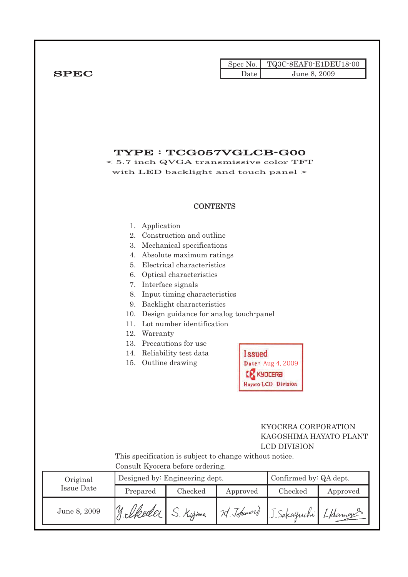|             |      | Spec No. TQ3C-8EAF0-E1DEU18-00 |
|-------------|------|--------------------------------|
| <b>SPEC</b> | Jate | June 8, 2009                   |

## TYPE : TCG057VGLCB-G00

< 5.7 inch QVGA transmissive color TFT with LED backlight and touch panel >

#### **CONTENTS**

- 1. Application
- 2. Construction and outline
- 3. Mechanical specifications
- 4. Absolute maximum ratings
- 5. Electrical characteristics
- 6. Optical characteristics
- 7. Interface signals
- 8. Input timing characteristics
- 9. Backlight characteristics
- 10. Design guidance for analog touch-panel
- 11. Lot number identification
- 12. Warranty
- 13. Precautions for use
- 14. Reliability test data
- 15. Outline drawing

| <b>Issued</b>       |
|---------------------|
| Date: Aug 4, 2009   |
| K KYDLERA           |
| Hayato LCD Division |

#### KYOCERA CORPORATION KAGOSHIMA HAYATO PLANT LCD DIVISION

 This specification is subject to change without notice. Consult Kyocera before ordering.

| Original     |           | Designed by: Engineering dept. | Confirmed by: QA dept. |                       |          |  |
|--------------|-----------|--------------------------------|------------------------|-----------------------|----------|--|
| Issue Date   | Prepared  | Checked                        | Approved               | Checked               | Approved |  |
| June 8, 2009 | y elkeder | Kojima                         | 20 Johnword            | J. Sakaguchi [ Hamans |          |  |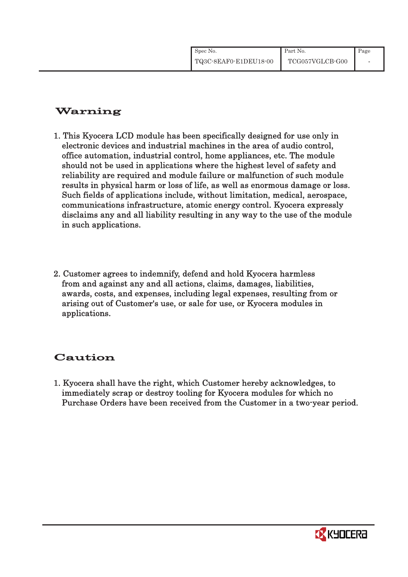| Spec No.              | Part No.        | Page |
|-----------------------|-----------------|------|
| TQ3C-8EAF0-E1DEU18-00 | TCG057VGLCB-G00 |      |

# Warning

- 1. This Kyocera LCD module has been specifically designed for use only in electronic devices and industrial machines in the area of audio control, office automation, industrial control, home appliances, etc. The module should not be used in applications where the highest level of safety and reliability are required and module failure or malfunction of such module results in physical harm or loss of life, as well as enormous damage or loss. Such fields of applications include, without limitation, medical, aerospace, communications infrastructure, atomic energy control. Kyocera expressly disclaims any and all liability resulting in any way to the use of the module in such applications.
- 2. Customer agrees to indemnify, defend and hold Kyocera harmless from and against any and all actions, claims, damages, liabilities, awards, costs, and expenses, including legal expenses, resulting from or arising out of Customer's use, or sale for use, or Kyocera modules in applications.

# Caution

1. Kyocera shall have the right, which Customer hereby acknowledges, to immediately scrap or destroy tooling for Kyocera modules for which no Purchase Orders have been received from the Customer in a two-year period.

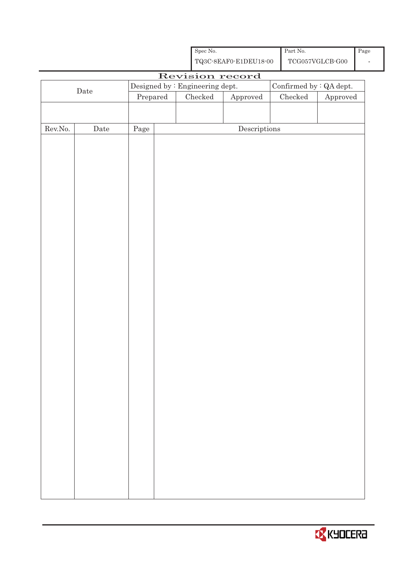|                  |                      |          |                                                    | ${\rm Spec}$ No. |                                      |  | Part No.                                 |                                         | $\overline{\text{Page}}$ |  |  |
|------------------|----------------------|----------|----------------------------------------------------|------------------|--------------------------------------|--|------------------------------------------|-----------------------------------------|--------------------------|--|--|
|                  |                      |          | ${\bf TQ3C\text{-}SEAF0\text{-}E1DEU18\text{-}00}$ |                  |                                      |  |                                          | $\operatorname{TCG057VGLCB\text{-}G00}$ |                          |  |  |
|                  | Revision record      |          |                                                    |                  |                                      |  |                                          |                                         |                          |  |  |
|                  | $\rm{Date}$          |          | Designed by : Engineering dept.                    |                  |                                      |  | Confirmed by : $\operatorname{QA}$ dept. |                                         |                          |  |  |
|                  |                      | Prepared |                                                    | $\rm Checked$    | ${\Large\bf Approved}$               |  | Checked                                  | Approved                                |                          |  |  |
|                  |                      |          |                                                    |                  |                                      |  |                                          |                                         |                          |  |  |
| ${\rm Rev. No.}$ | $\rm{\textbf{Date}}$ | Page     |                                                    |                  | $\label{eq:2} \textbf{Descriptions}$ |  |                                          |                                         |                          |  |  |
|                  |                      |          |                                                    |                  |                                      |  |                                          |                                         |                          |  |  |
|                  |                      |          |                                                    |                  |                                      |  |                                          |                                         |                          |  |  |
|                  |                      |          |                                                    |                  |                                      |  |                                          |                                         |                          |  |  |
|                  |                      |          |                                                    |                  |                                      |  |                                          |                                         |                          |  |  |
|                  |                      |          |                                                    |                  |                                      |  |                                          |                                         |                          |  |  |
|                  |                      |          |                                                    |                  |                                      |  |                                          |                                         |                          |  |  |
|                  |                      |          |                                                    |                  |                                      |  |                                          |                                         |                          |  |  |
|                  |                      |          |                                                    |                  |                                      |  |                                          |                                         |                          |  |  |
|                  |                      |          |                                                    |                  |                                      |  |                                          |                                         |                          |  |  |
|                  |                      |          |                                                    |                  |                                      |  |                                          |                                         |                          |  |  |
|                  |                      |          |                                                    |                  |                                      |  |                                          |                                         |                          |  |  |
|                  |                      |          |                                                    |                  |                                      |  |                                          |                                         |                          |  |  |
|                  |                      |          |                                                    |                  |                                      |  |                                          |                                         |                          |  |  |
|                  |                      |          |                                                    |                  |                                      |  |                                          |                                         |                          |  |  |
|                  |                      |          |                                                    |                  |                                      |  |                                          |                                         |                          |  |  |
|                  |                      |          |                                                    |                  |                                      |  |                                          |                                         |                          |  |  |
|                  |                      |          |                                                    |                  |                                      |  |                                          |                                         |                          |  |  |
|                  |                      |          |                                                    |                  |                                      |  |                                          |                                         |                          |  |  |
|                  |                      |          |                                                    |                  |                                      |  |                                          |                                         |                          |  |  |
|                  |                      |          |                                                    |                  |                                      |  |                                          |                                         |                          |  |  |
|                  |                      |          |                                                    |                  |                                      |  |                                          |                                         |                          |  |  |
|                  |                      |          |                                                    |                  |                                      |  |                                          |                                         |                          |  |  |
|                  |                      |          |                                                    |                  |                                      |  |                                          |                                         |                          |  |  |
|                  |                      |          |                                                    |                  |                                      |  |                                          |                                         |                          |  |  |
|                  |                      |          |                                                    |                  |                                      |  |                                          |                                         |                          |  |  |
|                  |                      |          |                                                    |                  |                                      |  |                                          |                                         |                          |  |  |
|                  |                      |          |                                                    |                  |                                      |  |                                          |                                         |                          |  |  |
|                  |                      |          |                                                    |                  |                                      |  |                                          |                                         |                          |  |  |
|                  |                      |          |                                                    |                  |                                      |  |                                          |                                         |                          |  |  |
|                  |                      |          |                                                    |                  |                                      |  |                                          |                                         |                          |  |  |
|                  |                      |          |                                                    |                  |                                      |  |                                          |                                         |                          |  |  |
|                  |                      |          |                                                    |                  |                                      |  |                                          |                                         |                          |  |  |

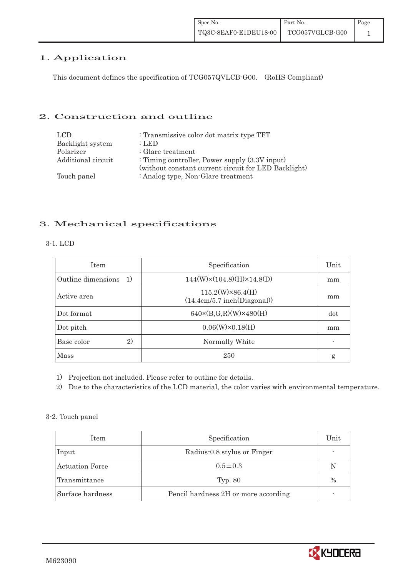### 1. Application

This document defines the specification of TCG057QVLCB-G00. (RoHS Compliant)

#### 2. Construction and outline

| LCD.               | : Transmissive color dot matrix type TFT             |
|--------------------|------------------------------------------------------|
| Backlight system   | :LED                                                 |
| Polarizer          | : Glare treatment                                    |
| Additional circuit | : Timing controller, Power supply $(3.3V)$ input)    |
|                    | (without constant current circuit for LED Backlight) |
| Touch panel        | : Analog type, Non-Glare treatment                   |

### 3. Mechanical specifications

| <b>Item</b>                        | Specification                                          | Unit |
|------------------------------------|--------------------------------------------------------|------|
| Outline dimensions<br><sup>1</sup> | $144(W)\times(104.8)(H)\times14.8(D)$                  | mm   |
| Active area                        | $115.2(W)\times86.4(H)$<br>(14.4cm/5.7 inch(Diagonal)) | mm   |
| Dot format                         | $640 \times (B,G,R)(W) \times 480(H)$                  | dot  |
| Dot pitch                          | $0.06(W)\times0.18(H)$                                 | mm   |
| 2)<br>Base color                   | Normally White                                         |      |
| Mass                               | 250                                                    | g    |

1) Projection not included. Please refer to outline for details.

2) Due to the characteristics of the LCD material, the color varies with environmental temperature.

#### 3-2. Touch panel

| Item                   | Specification                        | Unit |
|------------------------|--------------------------------------|------|
| Input                  | Radius-0.8 stylus or Finger          |      |
| <b>Actuation Force</b> | $0.5 \pm 0.3$                        | N    |
| Transmittance          | <b>Typ. 80</b>                       | $\%$ |
| Surface hardness       | Pencil hardness 2H or more according |      |

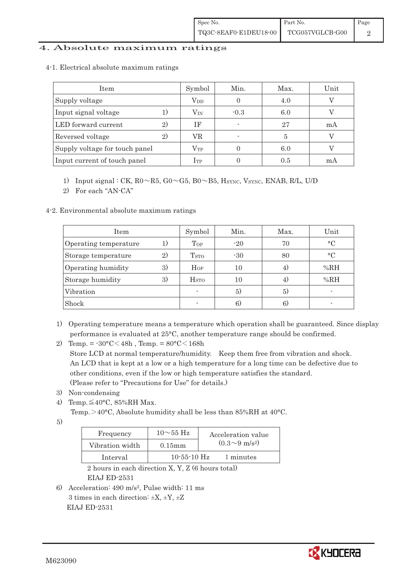#### 4. Absolute maximum ratings

| 4-1. Electrical absolute maximum ratings |
|------------------------------------------|
|------------------------------------------|

| Item                           |     | Symbol       | Min.   | Max. | Unit |
|--------------------------------|-----|--------------|--------|------|------|
| Supply voltage                 |     | $\rm V_{DD}$ |        | 4.0  |      |
| Input signal voltage           |     | $\rm V_{IN}$ | $-0.3$ | 6.0  |      |
| LED forward current            |     | ΙF           |        | 27   | mA   |
| Reversed voltage               | (2) | VR           |        | 5    |      |
| Supply voltage for touch panel |     | $\rm V_{TP}$ |        | 6.0  |      |
| Input current of touch panel   |     | $\rm I_{TP}$ |        | 0.5  | mA   |

1) Input signal : CK,  $R0 \sim R5$ ,  $G0 \sim G5$ ,  $B0 \sim B5$ ,  $H_{\text{SYNC}}$ , Vsync, ENAB, R/L, U/D

2) For each "AN-CA"

4-2. Environmental absolute maximum ratings

| Item                  |              | Symbol                  | Min.  | Max. | Unit      |
|-----------------------|--------------|-------------------------|-------|------|-----------|
| Operating temperature | 1)           | Top                     | $-20$ | 70   | $\circ$ C |
| Storage temperature   | $\mathbf{2}$ | T <sub>STO</sub>        | $-30$ | 80   | $\circ$ C |
| Operating humidity    | 3)           | Hop                     | 10    | 4)   | %RH       |
| Storage humidity      | 3)           | <b>H</b> <sub>sto</sub> | 10    | 4)   | %RH       |
| Vibration             |              |                         | 5)    | 5)   |           |
| Shock                 |              |                         | 6)    | 6)   |           |

- 1) Operating temperature means a temperature which operation shall be guaranteed. Since display performance is evaluated at 25°C, another temperature range should be confirmed.
- 2) Temp. =  $-30^{\circ}$ C $<$ 48h, Temp. =  $80^{\circ}$ C $<$ 168h Store LCD at normal temperature/humidity. Keep them free from vibration and shock. An LCD that is kept at a low or a high temperature for a long time can be defective due to other conditions, even if the low or high temperature satisfies the standard. (Please refer to "Precautions for Use" for details.)
- 3) Non-condensing
- 4) Temp. $\leq 40^{\circ}$ C, 85%RH Max.

Temp. >40°C, Absolute humidity shall be less than 85%RH at 40°C.

5)

| Frequency       | $10\sim 55$ Hz    | Acceleration value         |
|-----------------|-------------------|----------------------------|
| Vibration width | $0.15$ mm         | $(0.3{\sim}9~{\rm m/s^2})$ |
| Interval        | $10 - 55 - 10$ Hz | 1 minutes                  |

 2 hours in each direction X, Y, Z (6 hours total) EIAJ ED-2531

6) Acceleration: 490 m/s2, Pulse width: 11 ms 3 times in each direction:  $\pm X$ ,  $\pm Y$ ,  $\pm Z$ EIAJ ED-2531

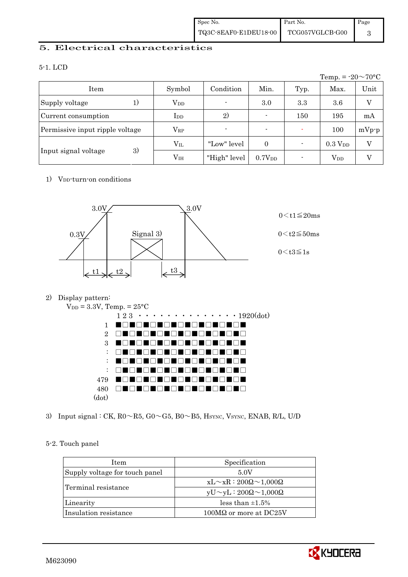#### 5. Electrical characteristics

#### 5-1. LCD

|                                 |               |                |                          |      | Temp. = $-20 \sim 70$ °C |         |
|---------------------------------|---------------|----------------|--------------------------|------|--------------------------|---------|
| Item                            | Symbol        | Condition      | Min.                     | Typ. | Max.                     | Unit    |
| Supply voltage<br>$_{1}$        | $\rm V_{DD}$  | $\blacksquare$ | 3.0                      | 3.3  | 3.6                      | V       |
| Current consumption             | $_{\rm{LDD}}$ | 2)             |                          | 150  | 195                      | mA      |
| Permissive input ripple voltage | $\rm V_{RP}$  |                | $\overline{\phantom{0}}$ |      | 100                      | $mVp-p$ |
| 3)                              | $\rm V_{II}$  | "Low" level    | $\overline{0}$           |      | 0.3 V <sub>DD</sub>      | V       |
| Input signal voltage            | $\rm V_{IH}$  | "High" level   | 0.7V <sub>DD</sub>       |      | $\rm V_{DD}$             |         |

#### 1) V<sub>DD</sub>-turn-on conditions



#### 2) Display pattern:



3) Input signal : CK,  $R0 \sim R5$ ,  $G0 \sim G5$ ,  $B0 \sim B5$ ,  $H<sub>SYNC</sub>$ ,  $V<sub>SYNC</sub>$ ,  $ENAB$ ,  $R/L$ ,  $U/D$ 

#### 5-2. Touch panel

| <b>Item</b>                    | Specification                             |  |
|--------------------------------|-------------------------------------------|--|
| Supply voltage for touch panel | 5.0V                                      |  |
|                                | $xL \sim xR : 200\Omega \sim 1,000\Omega$ |  |
| Terminal resistance            | $yU \sim yL : 200\Omega \sim 1,000\Omega$ |  |
| Linearity                      | less than $\pm 1.5\%$                     |  |
| Insulation resistance          | $100\text{M}\Omega$ or more at DC25V      |  |

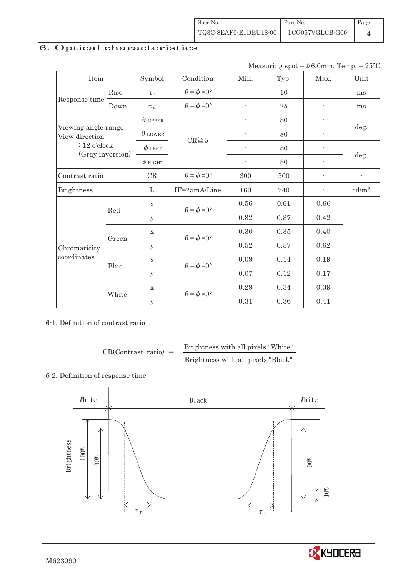| Spec No.              | $\blacksquare$ Part No. | $\blacksquare$ Page |
|-----------------------|-------------------------|---------------------|
| TQ3C-8EAF0-E1DEU18-00 | TCG057VGLCB-G00         |                     |

# 6. Optical characteristics

|  | Measuring spot = $\phi$ 6.0mm, Temp. = 25°C |  |
|--|---------------------------------------------|--|
|--|---------------------------------------------|--|

| Item                                  |       | Symbol         | Condition                   | Min.                     | Typ. | Max.                     | Unit                     |  |
|---------------------------------------|-------|----------------|-----------------------------|--------------------------|------|--------------------------|--------------------------|--|
|                                       | Rise  | $\tau_r$       | $\theta = \phi = 0^{\circ}$ | $\overline{\phantom{a}}$ | 10   | $\overline{\phantom{a}}$ | ms                       |  |
| Response time                         | Down  | T d            | $\theta = \phi = 0^{\circ}$ | $\sim$                   | 25   |                          | ms                       |  |
|                                       |       | $\theta$ upper |                             | $\overline{\phantom{a}}$ | 80   |                          | deg.                     |  |
| Viewing angle range<br>View direction |       | $\theta$ lower | $CR \ge 5$                  | $\overline{\phantom{a}}$ | 80   |                          |                          |  |
| $: 12$ o'clock                        |       | $\phi$ left    |                             |                          | 80   |                          |                          |  |
| (Gray inversion)                      |       | $\phi$ RIGHT   |                             | $\overline{\phantom{a}}$ | 80   | $\overline{\phantom{a}}$ | deg.                     |  |
| Contrast ratio                        |       | CR             | $\theta = \phi = 0^{\circ}$ | 300                      | 500  |                          | ÷                        |  |
| <b>Brightness</b>                     |       | L              | IF=25mA/Line                | 160                      | 240  |                          | cd/m <sup>2</sup>        |  |
|                                       | Red   | $\mathbf X$    | $\theta = \phi = 0^{\circ}$ | 0.56                     | 0.61 | 0.66                     |                          |  |
|                                       |       | y              |                             | 0.32                     | 0.37 | 0.42                     |                          |  |
|                                       | Green | $\mathbf X$    |                             | 0.30                     | 0.35 | 0.40                     |                          |  |
| Chromaticity                          |       | $\mathbf y$    | $\theta = \phi = 0^{\circ}$ | 0.52                     | 0.57 | 0.62                     | $\overline{\phantom{0}}$ |  |
| coordinates                           |       | $\mathbf X$    |                             | 0.09                     | 0.14 | 0.19                     |                          |  |
|                                       | Blue  | y              | $\theta = \phi = 0^{\circ}$ | 0.07                     | 0.12 | 0.17                     |                          |  |
|                                       | White | $\mathbf X$    |                             | 0.29                     | 0.34 | 0.39                     |                          |  |
|                                       |       | $\mathbf y$    | $\theta = \phi = 0^{\circ}$ | 0.31                     | 0.36 | 0.41                     |                          |  |

#### 6-1. Definition of contrast ratio

$$
CR(Contrast ratio) = \frac{Brightness with all pixels "White" }{Brightness with all pixels "Black" }
$$

### 6-2. Definition of response time



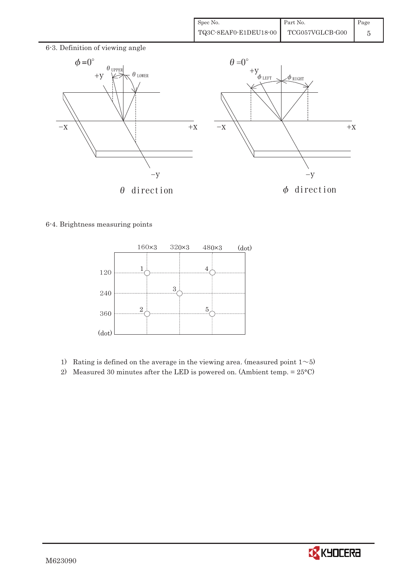

#### 6-4. Brightness measuring points



- 1) Rating is defined on the average in the viewing area. (measured point  $1~5$ )
- 2) Measured 30 minutes after the LED is powered on. (Ambient temp. = 25°C)

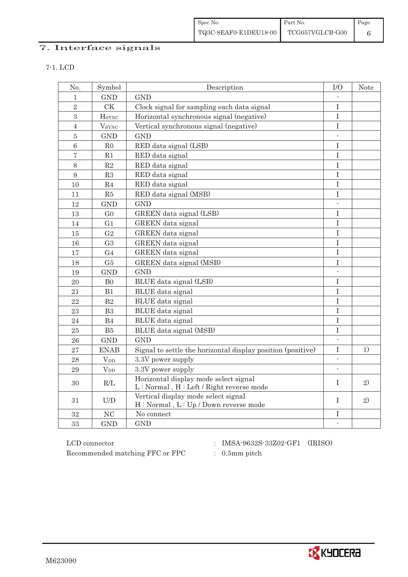| Spec No.              | Part No.        | $\blacksquare$ Page |
|-----------------------|-----------------|---------------------|
| TQ3C-8EAF0-E1DEU18-00 | TCG057VGLCB-G00 |                     |

# 7. Interface signals

| × |
|---|

| No.              | Symbol                   | Description                                                 | $\rm I/O$                | <b>Note</b> |
|------------------|--------------------------|-------------------------------------------------------------|--------------------------|-------------|
| 1                | <b>GND</b>               | <b>GND</b>                                                  |                          |             |
| $\overline{2}$   | CK                       | Clock signal for sampling each data signal                  | $\rm I$                  |             |
| $\boldsymbol{3}$ | <b>H</b> <sub>SYNC</sub> | Horizontal synchronous signal (negative)                    | $\mathbf I$              |             |
| $\overline{4}$   | <b>V</b> <sub>SYNC</sub> | Vertical synchronous signal (negative)                      | $\rm I$                  |             |
| $\overline{5}$   | <b>GND</b>               | <b>GND</b>                                                  | L.                       |             |
| $6\phantom{1}6$  | ${\rm R0}$               | RED data signal (LSB)                                       | I                        |             |
| $\overline{7}$   | R1                       | RED data signal                                             | I                        |             |
| $8\,$            | $\mathbf{R}2$            | RED data signal                                             | $\rm I$                  |             |
| 9                | R3                       | RED data signal                                             | $\rm I$                  |             |
| 10               | R <sub>4</sub>           | RED data signal                                             | $\overline{I}$           |             |
| 11               | R5                       | RED data signal (MSB)                                       | $\rm I$                  |             |
| 12               | <b>GND</b>               | <b>GND</b>                                                  | $\overline{\phantom{a}}$ |             |
| 13               | G <sub>0</sub>           | GREEN data signal (LSB)                                     | $\mathbf I$              |             |
| 14               | G <sub>1</sub>           | <b>GREEN</b> data signal                                    | $\mathbf I$              |             |
| 15               | G <sub>2</sub>           | GREEN data signal                                           | $\mathbf I$              |             |
| 16               | G <sub>3</sub>           | GREEN data signal                                           | $\rm I$                  |             |
| 17               | G <sub>4</sub>           | GREEN data signal                                           | T                        |             |
| 18               | G5                       | GREEN data signal (MSB)                                     | I                        |             |
| 19               | <b>GND</b>               | <b>GND</b>                                                  |                          |             |
| 20               | B <sub>0</sub>           | BLUE data signal (LSB)                                      | I                        |             |
| 21               | B1                       | BLUE data signal                                            | $\rm I$                  |             |
| 22               | B <sub>2</sub>           | BLUE data signal                                            | $\mathbf I$              |             |
| 23               | B <sub>3</sub>           | BLUE data signal                                            | $\rm I$                  |             |
| 24               | B <sub>4</sub>           | <b>BLUE</b> data signal                                     | $\mathbf I$              |             |
| 25               | B5                       | BLUE data signal (MSB)                                      | $\mathbf I$              |             |
| 26               | <b>GND</b>               | <b>GND</b>                                                  | $\sim$                   |             |
| 27               | <b>ENAB</b>              | Signal to settle the horizontal display position (positive) | $\mathbf I$              | 1)          |
| 28               | <b>V</b> <sub>DD</sub>   | 3.3V power supply                                           | $\mathcal{L}$            |             |
| 29               | $V_{DD}$                 | 3.3V power supply                                           | $\overline{\phantom{a}}$ |             |
| 30               | R/L                      | Horizontal display mode select signal                       | T                        | 2)          |
|                  |                          | L: Normal, H: Left / Right reverse mode                     |                          |             |
| 31               | U/D                      | Vertical display mode select signal                         | T                        | 2)          |
|                  |                          | H: Normal, L: Up / Down reverse mode                        |                          |             |
| 32               | NC                       | No connect                                                  | I                        |             |
| 33               | <b>GND</b>               | <b>GND</b>                                                  | $\Box$                   |             |

 ${\rm LCD~connector}~~:~~{\rm IMSA\text{-}9632S\text{-}33Z02\text{-}GF1}~~({\rm IRISO})$ Recommended matching FFC or FPC  $\qquad \qquad : \quad$  0.5mm pitch

- 
- 

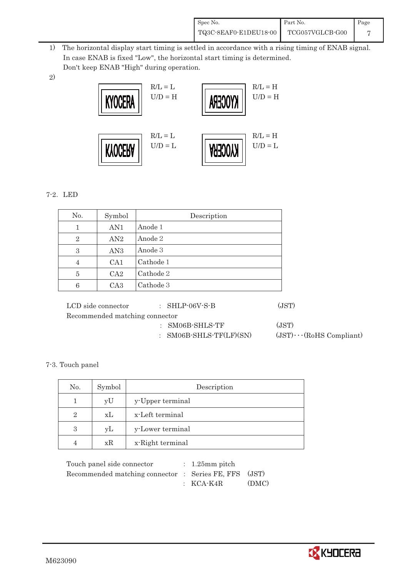| Spec No.              | Part No.        | Page |
|-----------------------|-----------------|------|
| TQ3C-8EAF0-E1DEU18-00 | TCG057VGLCB-G00 |      |

- 1) The horizontal display start timing is settled in accordance with a rising timing of ENAB signal. In case ENAB is fixed "Low", the horizontal start timing is determined. Don't keep ENAB "High" during operation.
- 2)



#### 7-2. LED

| No.            | Symbol          | Description |
|----------------|-----------------|-------------|
| 1              | AN <sub>1</sub> | Anode 1     |
| $\overline{2}$ | AN2             | Anode 2     |
| 3              | AN3             | Anode 3     |
| $\overline{4}$ | CA <sub>1</sub> | Cathode 1   |
| 5              | CA <sub>2</sub> | Cathode 2   |
| 6              | CA <sub>3</sub> | Cathode 3   |

| LCD side connector             | $\colon$ SHLP-06V-S-B      | (JST)                          |
|--------------------------------|----------------------------|--------------------------------|
| Recommended matching connector |                            |                                |
|                                | $:$ SM06B-SHLS-TF          | (JST)                          |
|                                | : SM06B-SHLS-TF $(LF)(SN)$ | $(JST)\cdots (RoHS Compliant)$ |

#### 7-3. Touch panel

| No.            | Symbol | Description      |
|----------------|--------|------------------|
|                | yU     | y-Upper terminal |
| $\overline{2}$ | xL     | x-Left terminal  |
| 3              | vL     | y-Lower terminal |
|                | xR     | x-Right terminal |

| Touch panel side connector                            | $: 1.25$ mm pitch |       |
|-------------------------------------------------------|-------------------|-------|
| Recommended matching connector : Series FE, FFS (JST) |                   |       |
|                                                       | $\pm$ KCA-K4R     | (DMC) |

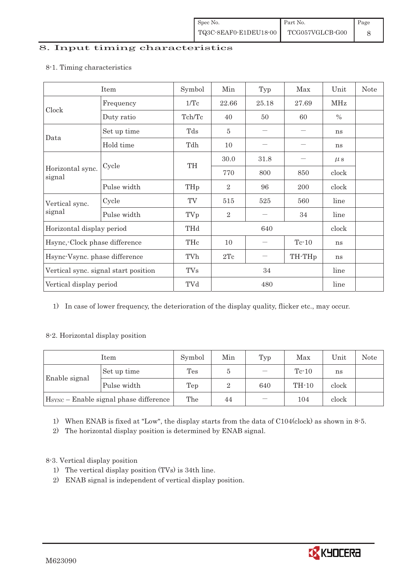#### 8. Input timing characteristics

|                                      | Item        | Symbol        | Min            | Typ                             | Max                | Unit    | <b>Note</b> |
|--------------------------------------|-------------|---------------|----------------|---------------------------------|--------------------|---------|-------------|
|                                      | Frequency   | $1/\text{Tc}$ | 22.66          | 25.18                           | 27.69              | MHz     |             |
| Clock<br>signal                      | Duty ratio  | Tch/Tc        | 40             | 50                              | 60                 | $\%$    |             |
| Data                                 | Set up time | Tds           | 5              |                                 |                    | ns      |             |
|                                      | Hold time   | Tdh           | 10             | $\hspace{0.1mm}-\hspace{0.1mm}$ |                    | ns      |             |
| Horizontal sync.                     |             |               | 30.0           | 31.8                            |                    | $\mu$ s |             |
|                                      | Cycle       | TH            | 770            | 800                             | 850                | clock   |             |
|                                      | Pulse width | THp           | $\overline{2}$ | 96                              | 200                | clock   |             |
| Vertical sync.                       | Cycle       | TV            | 515            | 525                             | 560                | line    |             |
| signal                               | Pulse width | TVp           | $\overline{2}$ |                                 | 34                 | line    |             |
| Horizontal display period            |             | THd           |                | 640                             |                    |         |             |
| Hsync, Clock phase difference        |             | THc           | 10             |                                 | $Tc-10$            | ns      |             |
| Hsync-Vsync. phase difference        |             | TVh           | 2Tc            |                                 | TH-TH <sub>p</sub> | ns      |             |
| Vertical sync. signal start position |             | <b>TVs</b>    | 34             |                                 |                    | line    |             |
| Vertical display period              |             | TVd           | 480            |                                 |                    | line    |             |

#### 8-1. Timing characteristics

1) In case of lower frequency, the deterioration of the display quality, flicker etc., may occur.

#### 8-2. Horizontal display position

| Item                                               |             | Symbol | Min | Typ                      | Max     | Unit  | <b>Note</b> |
|----------------------------------------------------|-------------|--------|-----|--------------------------|---------|-------|-------------|
| Enable signal                                      | Set up time | Tes    | G   | $\overline{\phantom{m}}$ | $Te-10$ | ns    |             |
|                                                    | Pulse width | Tep    | 2   | 640                      | $TH-10$ | clock |             |
| H <sub>SYNC</sub> - Enable signal phase difference |             | The    | 44  |                          | 104     | clock |             |

1) When ENAB is fixed at "Low", the display starts from the data of C104(clock) as shown in 8-5.

2) The horizontal display position is determined by ENAB signal.

8-3. Vertical display position

- 1) The vertical display position (TVs) is 34th line.
- 2) ENAB signal is independent of vertical display position.

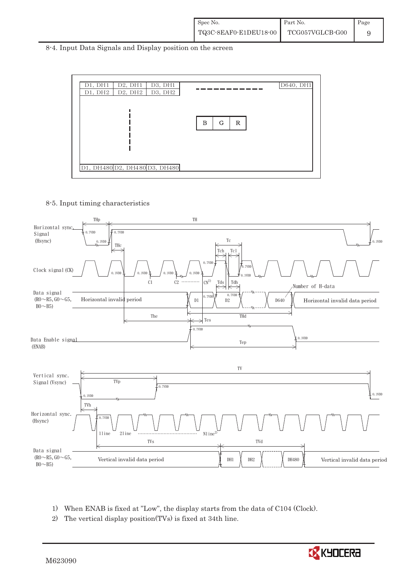8-4. Input Data Signals and Display position on the screen



8-5. Input timing characteristics



- 1) When ENAB is fixed at "Low", the display starts from the data of C104 (Clock).
- 2) The vertical display position(TVs) is fixed at 34th line.

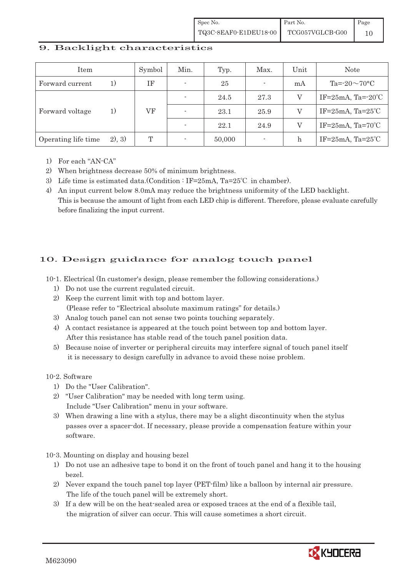#### 9. Backlight characteristics

| Item                |        | Symbol | Min.                     | Typ.   | Max.                     | Unit | <b>Note</b>                      |
|---------------------|--------|--------|--------------------------|--------|--------------------------|------|----------------------------------|
| Forward current     |        | ΙF     | $\overline{\phantom{a}}$ | 25     | $\overline{\phantom{a}}$ | mA   | $Ta = 20 \sim 70$ °C             |
|                     | 1)     | VF     |                          | 24.5   | 27.3                     |      | IF= $25mA$ , Ta= $-20^{\circ}$ C |
| Forward voltage     |        |        |                          | 23.1   | 25.9                     |      | IF= $25mA$ , Ta= $25°C$          |
|                     |        |        |                          | 22.1   | 24.9                     |      | IF= $25mA$ , Ta= $70^{\circ}$ C  |
| Operating life time | 2), 3) | T      |                          | 50,000 | $\overline{\phantom{a}}$ | h    | IF= $25mA$ , Ta= $25°C$          |

- 1) For each "AN-CA"
- 2) When brightness decrease 50% of minimum brightness.
- 3) Life time is estimated data.(Condition : IF=25mA, Ta=25°C in chamber).
- 4) An input current below 8.0mA may reduce the brightness uniformity of the LED backlight. This is because the amount of light from each LED chip is different. Therefore, please evaluate carefully before finalizing the input current.

### 10. Design guidance for analog touch panel

10-1. Electrical (In customer's design, please remember the following considerations.)

- 1) Do not use the current regulated circuit.
- 2) Keep the current limit with top and bottom layer. (Please refer to "Electrical absolute maximum ratings" for details.)
- 3) Analog touch panel can not sense two points touching separately.
- 4) A contact resistance is appeared at the touch point between top and bottom layer. After this resistance has stable read of the touch panel position data.
- 5) Because noise of inverter or peripheral circuits may interfere signal of touch panel itself it is necessary to design carefully in advance to avoid these noise problem.

10-2. Software

- 1) Do the "User Calibration".
- 2) "User Calibration" may be needed with long term using. Include "User Calibration" menu in your software.
- 3) When drawing a line with a stylus, there may be a slight discontinuity when the stylus passes over a spacer-dot. If necessary, please provide a compensation feature within your software.

10-3. Mounting on display and housing bezel

- 1) Do not use an adhesive tape to bond it on the front of touch panel and hang it to the housing bezel.
- 2) Never expand the touch panel top layer (PET-film) like a balloon by internal air pressure. The life of the touch panel will be extremely short.
- 3) If a dew will be on the heat-sealed area or exposed traces at the end of a flexible tail, the migration of silver can occur. This will cause sometimes a short circuit.

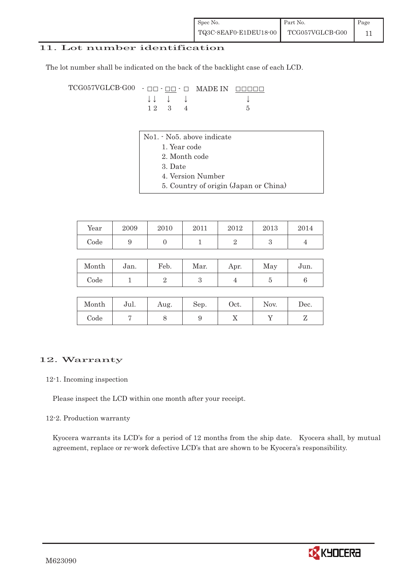#### 11. Lot number identification

The lot number shall be indicated on the back of the backlight case of each LCD.

TCG057VGLCB-G00 - ## - ## - # MADE IN #####  $\downarrow \downarrow \quad \downarrow \qquad \qquad \downarrow$ 1 2 3 4 5

- No1. No5. above indicate
	- 1. Year code
	- 2. Month code
	- 3. Date
	- 4. Version Number
	- 5. Country of origin (Japan or China)

| Year | 2009 | 2010 | 2011 | 2012 | 2013 | 2014 |
|------|------|------|------|------|------|------|
| Code |      |      |      |      |      |      |

| Month | Jan. | Feb. | Mar. | Apr. | May | Jun. |
|-------|------|------|------|------|-----|------|
| Code  |      |      |      |      |     |      |

| Month | Jul. | Aug. | Sep. | Oct. | Nov. | $\operatorname{Dec.}$ |
|-------|------|------|------|------|------|-----------------------|
| Code  |      | ◡    | ັ    | ∡⊾   |      |                       |

#### 12. Warranty

#### 12-1. Incoming inspection

Please inspect the LCD within one month after your receipt.

#### 12-2. Production warranty

 Kyocera warrants its LCD's for a period of 12 months from the ship date. Kyocera shall, by mutual agreement, replace or re-work defective LCD's that are shown to be Kyocera's responsibility.

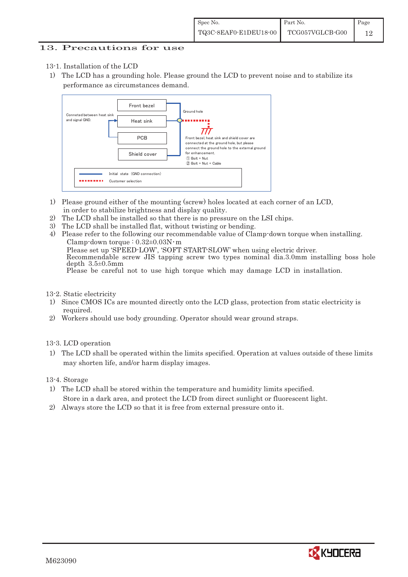#### 13. Precautions for use

- 13-1. Installation of the LCD
- 1) The LCD has a grounding hole. Please ground the LCD to prevent noise and to stabilize its performance as circumstances demand.



- 1) Please ground either of the mounting (screw) holes located at each corner of an LCD, in order to stabilize brightness and display quality.
- 2) The LCD shall be installed so that there is no pressure on the LSI chips.
- 3) The LCD shall be installed flat, without twisting or bending.
- 4) Please refer to the following our recommendable value of Clamp-down torque when installing. Clamp-down torque :  $0.32\pm0.03$ N·m Please set up 'SPEED-LOW', 'SOFT START-SLOW' when using electric driver. Recommendable screw JIS tapping screw two types nominal dia.3.0mm installing boss hole depth  $3.5\pm0.5$ mm Please be careful not to use high torque which may damage LCD in installation.

#### 13-2. Static electricity

- 1) Since CMOS ICs are mounted directly onto the LCD glass, protection from static electricity is required.
- 2) Workers should use body grounding. Operator should wear ground straps.

#### 13-3. LCD operation

1) The LCD shall be operated within the limits specified. Operation at values outside of these limits may shorten life, and/or harm display images.

13-4. Storage

- 1) The LCD shall be stored within the temperature and humidity limits specified. Store in a dark area, and protect the LCD from direct sunlight or fluorescent light.
- 2) Always store the LCD so that it is free from external pressure onto it.

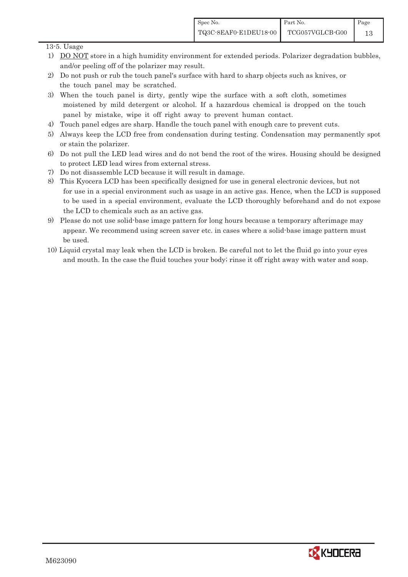#### 13-5. Usage

- 1) DO NOT store in a high humidity environment for extended periods. Polarizer degradation bubbles, and/or peeling off of the polarizer may result.
- 2) Do not push or rub the touch panel's surface with hard to sharp objects such as knives, or the touch panel may be scratched.
- 3) When the touch panel is dirty, gently wipe the surface with a soft cloth, sometimes moistened by mild detergent or alcohol. If a hazardous chemical is dropped on the touch panel by mistake, wipe it off right away to prevent human contact.
- 4) Touch panel edges are sharp. Handle the touch panel with enough care to prevent cuts.
- 5) Always keep the LCD free from condensation during testing. Condensation may permanently spot or stain the polarizer.
- 6) Do not pull the LED lead wires and do not bend the root of the wires. Housing should be designed to protect LED lead wires from external stress.
- 7) Do not disassemble LCD because it will result in damage.
- 8) This Kyocera LCD has been specifically designed for use in general electronic devices, but not for use in a special environment such as usage in an active gas. Hence, when the LCD is supposed to be used in a special environment, evaluate the LCD thoroughly beforehand and do not expose the LCD to chemicals such as an active gas.
- 9) Please do not use solid-base image pattern for long hours because a temporary afterimage may appear. We recommend using screen saver etc. in cases where a solid-base image pattern must be used.
- 10) Liquid crystal may leak when the LCD is broken. Be careful not to let the fluid go into your eyes and mouth. In the case the fluid touches your body; rinse it off right away with water and soap.

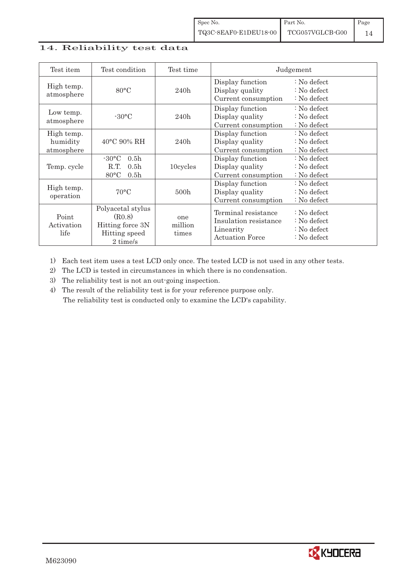### 14. Reliability test data

| Test item                            | Test condition                                                                                        | Test time               |                                                                                     | Judgement                                                        |
|--------------------------------------|-------------------------------------------------------------------------------------------------------|-------------------------|-------------------------------------------------------------------------------------|------------------------------------------------------------------|
| High temp.<br>atmosphere             | $80^{\circ}$ C                                                                                        | 240h                    | Display function<br>Display quality<br>Current consumption                          | $: No$ defect<br>$: No$ defect<br>$: No$ defect                  |
| Low temp.<br>atmosphere              | $-30\degree C$                                                                                        | 240h                    | Display function<br>Display quality<br>Current consumption                          | $: No$ defect<br>$: No$ defect<br>$: No$ defect                  |
| High temp.<br>humidity<br>atmosphere | $40^{\circ}$ C 90% RH                                                                                 | 240h                    | Display function<br>Display quality<br>Current consumption                          | $: No$ defect<br>$: No$ defect<br>$: No$ defect                  |
| Temp. cycle                          | $-30^{\circ}$ C<br>0.5 <sub>h</sub><br>R.T.<br>0.5 <sub>h</sub><br>$80^{\circ}$ C<br>0.5 <sub>h</sub> | 10cycles                | Display function<br>Display quality<br>Current consumption                          | $: No$ defect<br>$: No$ defect<br>$: No$ defect                  |
| High temp.<br>operation              | $70^{\circ}$ C                                                                                        | 500h                    | Display function<br>Display quality<br>Current consumption                          | $: No$ defect<br>$:$ No defect<br>: No defect                    |
| Point<br>Activation<br>life          | Polyacetal stylus<br>(R0.8)<br>Hitting force 3N<br>Hitting speed<br>2 time/s                          | one<br>million<br>times | Terminal resistance<br>Insulation resistance<br>Linearity<br><b>Actuation Force</b> | $: No$ defect<br>$: No$ defect<br>$: No$ defect<br>$: No$ defect |

1) Each test item uses a test LCD only once. The tested LCD is not used in any other tests.

2) The LCD is tested in circumstances in which there is no condensation.

3) The reliability test is not an out-going inspection.

4) The result of the reliability test is for your reference purpose only. The reliability test is conducted only to examine the LCD's capability.

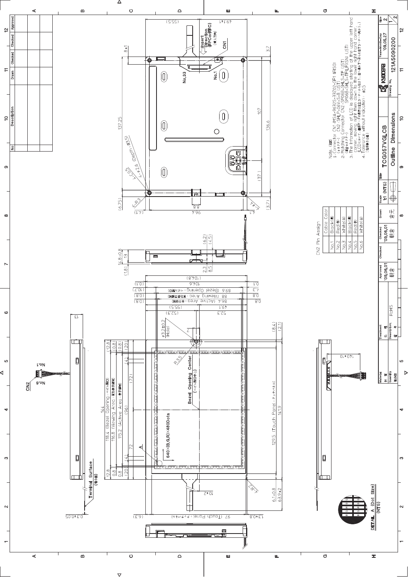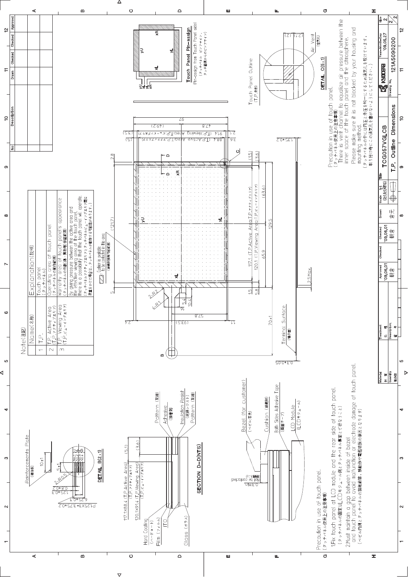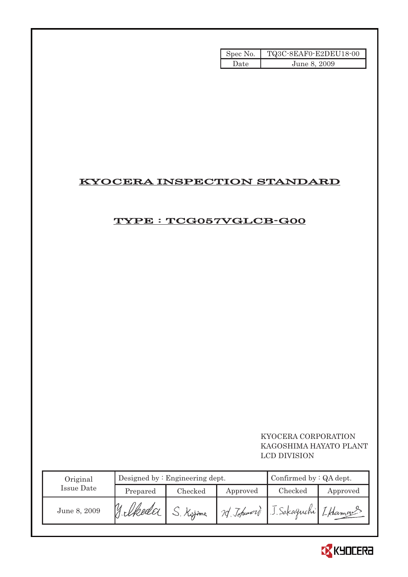| Spec No. | TQ3C-8EAF0-E2DEU18-00 |
|----------|-----------------------|
| Date.    | June 8, 2009          |

# KYOCERA INSPECTION STANDARD

## TYPE : TCG057VGLCB-G00

### KYOCERA CORPORATION KAGOSHIMA HAYATO PLANT LCD DIVISION

| Original     |          | Designed by $:$ Engineering dept. | Confirmed by $: QA$ dept. |                       |          |
|--------------|----------|-----------------------------------|---------------------------|-----------------------|----------|
| Issue Date   | Prepared | Checked                           | Approved                  | Checked               | Approved |
| June 8, 2009 |          |                                   | 20 Johnson                | J. Sakaguchi Lklamans |          |

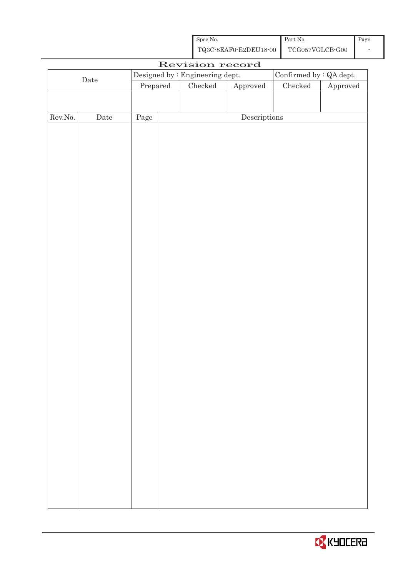| Spec No.              | Part No.        | Page |
|-----------------------|-----------------|------|
| TQ3C-8EAF0-E2DEU18-00 | TCG057VGLCB-G00 |      |

| Revision record  |             |                                  |  |                                 |                                      |                         |          |  |
|------------------|-------------|----------------------------------|--|---------------------------------|--------------------------------------|-------------------------|----------|--|
|                  |             |                                  |  | Designed by : Engineering dept. |                                      | Confirmed by : QA dept. |          |  |
| $\rm{Date}$      |             | $\ensuremath{\mathrm{Prepared}}$ |  | $\rm Checked$                   | ${\Large\bf Approved}$               | ${\it Checked}$         | Approved |  |
|                  |             |                                  |  |                                 |                                      |                         |          |  |
|                  |             |                                  |  |                                 |                                      |                         |          |  |
| ${\rm Rev. No.}$ | $\rm{Date}$ | Page                             |  |                                 | $\label{eq:2} \textbf{Descriptions}$ |                         |          |  |
|                  |             |                                  |  |                                 |                                      |                         |          |  |
|                  |             |                                  |  |                                 |                                      |                         |          |  |
|                  |             |                                  |  |                                 |                                      |                         |          |  |
|                  |             |                                  |  |                                 |                                      |                         |          |  |
|                  |             |                                  |  |                                 |                                      |                         |          |  |
|                  |             |                                  |  |                                 |                                      |                         |          |  |
|                  |             |                                  |  |                                 |                                      |                         |          |  |
|                  |             |                                  |  |                                 |                                      |                         |          |  |
|                  |             |                                  |  |                                 |                                      |                         |          |  |
|                  |             |                                  |  |                                 |                                      |                         |          |  |
|                  |             |                                  |  |                                 |                                      |                         |          |  |
|                  |             |                                  |  |                                 |                                      |                         |          |  |
|                  |             |                                  |  |                                 |                                      |                         |          |  |
|                  |             |                                  |  |                                 |                                      |                         |          |  |
|                  |             |                                  |  |                                 |                                      |                         |          |  |
|                  |             |                                  |  |                                 |                                      |                         |          |  |
|                  |             |                                  |  |                                 |                                      |                         |          |  |
|                  |             |                                  |  |                                 |                                      |                         |          |  |
|                  |             |                                  |  |                                 |                                      |                         |          |  |
|                  |             |                                  |  |                                 |                                      |                         |          |  |
|                  |             |                                  |  |                                 |                                      |                         |          |  |
|                  |             |                                  |  |                                 |                                      |                         |          |  |
|                  |             |                                  |  |                                 |                                      |                         |          |  |
|                  |             |                                  |  |                                 |                                      |                         |          |  |
|                  |             |                                  |  |                                 |                                      |                         |          |  |
|                  |             |                                  |  |                                 |                                      |                         |          |  |
|                  |             |                                  |  |                                 |                                      |                         |          |  |
|                  |             |                                  |  |                                 |                                      |                         |          |  |
|                  |             |                                  |  |                                 |                                      |                         |          |  |
|                  |             |                                  |  |                                 |                                      |                         |          |  |
|                  |             |                                  |  |                                 |                                      |                         |          |  |
|                  |             |                                  |  |                                 |                                      |                         |          |  |
|                  |             |                                  |  |                                 |                                      |                         |          |  |
|                  |             |                                  |  |                                 |                                      |                         |          |  |
|                  |             |                                  |  |                                 |                                      |                         |          |  |
|                  |             |                                  |  |                                 |                                      |                         |          |  |

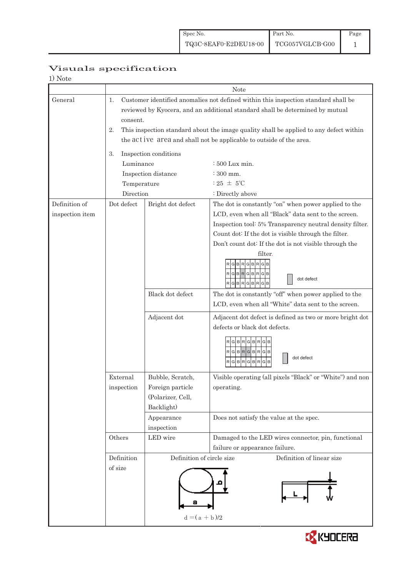| 1) Note         |                                                                                              |                           |                                                           |  |  |  |  |
|-----------------|----------------------------------------------------------------------------------------------|---------------------------|-----------------------------------------------------------|--|--|--|--|
|                 |                                                                                              | Note                      |                                                           |  |  |  |  |
| General         | Customer identified anomalies not defined within this inspection standard shall be<br>1.     |                           |                                                           |  |  |  |  |
|                 | reviewed by Kyocera, and an additional standard shall be determined by mutual                |                           |                                                           |  |  |  |  |
|                 | consent.                                                                                     |                           |                                                           |  |  |  |  |
|                 | This inspection standard about the image quality shall be applied to any defect within<br>2. |                           |                                                           |  |  |  |  |
|                 | the act ive area and shall not be applicable to outside of the area.                         |                           |                                                           |  |  |  |  |
|                 | Inspection conditions<br>3.                                                                  |                           |                                                           |  |  |  |  |
|                 | Luminance                                                                                    |                           | $\div 500$ Lux min.                                       |  |  |  |  |
|                 |                                                                                              | Inspection distance       | $\div 300$ mm.                                            |  |  |  |  |
|                 | Temperature                                                                                  |                           | $:25 \pm 5^{\circ}$ C                                     |  |  |  |  |
|                 | Direction                                                                                    |                           | : Directly above                                          |  |  |  |  |
| Definition of   | Dot defect                                                                                   | Bright dot defect         | The dot is constantly "on" when power applied to the      |  |  |  |  |
| inspection item |                                                                                              |                           | LCD, even when all "Black" data sent to the screen.       |  |  |  |  |
|                 |                                                                                              |                           | Inspection tool: 5% Transparency neutral density filter.  |  |  |  |  |
|                 |                                                                                              |                           | Count dot: If the dot is visible through the filter.      |  |  |  |  |
|                 |                                                                                              |                           | Don't count dot: If the dot is not visible through the    |  |  |  |  |
|                 |                                                                                              |                           | filter.                                                   |  |  |  |  |
|                 |                                                                                              |                           | GBRGBRGB                                                  |  |  |  |  |
|                 |                                                                                              |                           | RGBRGBRGB                                                 |  |  |  |  |
|                 |                                                                                              |                           | dot defect<br>RGBRGBRGB                                   |  |  |  |  |
|                 |                                                                                              | Black dot defect          | The dot is constantly "off" when power applied to the     |  |  |  |  |
|                 |                                                                                              |                           | LCD, even when all "White" data sent to the screen.       |  |  |  |  |
|                 |                                                                                              | Adjacent dot              | Adjacent dot defect is defined as two or more bright dot  |  |  |  |  |
|                 |                                                                                              |                           | defects or black dot defects.                             |  |  |  |  |
|                 |                                                                                              |                           |                                                           |  |  |  |  |
|                 |                                                                                              |                           | <b>BRGBR</b>                                              |  |  |  |  |
|                 |                                                                                              |                           | RGBRGBRGB<br>dot defect                                   |  |  |  |  |
|                 |                                                                                              |                           | $\mathsf{R}$<br>G<br>G<br>B<br>BR<br>G                    |  |  |  |  |
|                 | External                                                                                     | Bubble, Scratch,          | Visible operating (all pixels "Black" or "White") and non |  |  |  |  |
|                 | inspection                                                                                   | Foreign particle          | operating.                                                |  |  |  |  |
|                 |                                                                                              | (Polarizer, Cell,         |                                                           |  |  |  |  |
|                 |                                                                                              | Backlight)                |                                                           |  |  |  |  |
|                 |                                                                                              | Appearance                | Does not satisfy the value at the spec.                   |  |  |  |  |
|                 |                                                                                              | inspection                |                                                           |  |  |  |  |
|                 | Others                                                                                       | LED wire                  | Damaged to the LED wires connector, pin, functional       |  |  |  |  |
|                 |                                                                                              |                           | failure or appearance failure.                            |  |  |  |  |
|                 | Definition                                                                                   | Definition of circle size | Definition of linear size                                 |  |  |  |  |
|                 | of size                                                                                      |                           |                                                           |  |  |  |  |
|                 |                                                                                              |                           |                                                           |  |  |  |  |
|                 |                                                                                              |                           |                                                           |  |  |  |  |
|                 |                                                                                              |                           |                                                           |  |  |  |  |
|                 |                                                                                              | $d = (a + b)/2$           |                                                           |  |  |  |  |
|                 |                                                                                              |                           |                                                           |  |  |  |  |

# Visuals specification

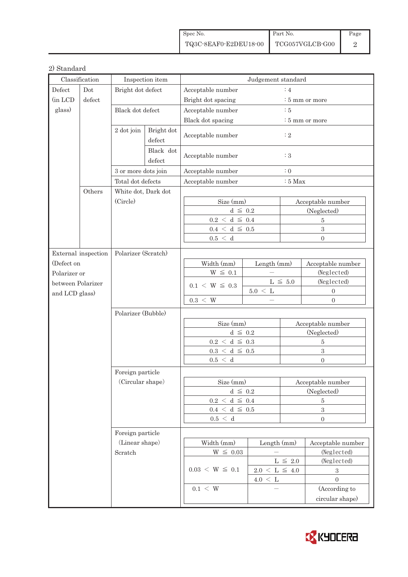| Spec No.              | Part No.        | Page |
|-----------------------|-----------------|------|
| TQ3C-8EAF0-E2DEU18-00 | TCG057VGLCB-G00 |      |

#### 2) Standard

| Classification                                                   |                     | Inspection item                               |  | Judgement standard     |                                            |                            |                   |  |
|------------------------------------------------------------------|---------------------|-----------------------------------------------|--|------------------------|--------------------------------------------|----------------------------|-------------------|--|
| Defect<br>Dot                                                    |                     | Bright dot defect                             |  | Acceptable number      |                                            | :4                         |                   |  |
| (in LCD                                                          | defect              |                                               |  | Bright dot spacing     |                                            | $:5$ mm or more            |                   |  |
| glass)<br>Black dot defect<br>2 dot join<br>Bright dot<br>defect |                     |                                               |  | Acceptable number      |                                            | $\therefore$ 5             |                   |  |
|                                                                  |                     |                                               |  | Black dot spacing      |                                            | $\frac{1}{2}$ 5 mm or more |                   |  |
|                                                                  |                     | Acceptable number                             |  | $\colon 2$             |                                            |                            |                   |  |
|                                                                  |                     | Black dot<br>defect                           |  | Acceptable number      |                                            | :3                         |                   |  |
|                                                                  |                     | 3 or more dots join                           |  | Acceptable number      |                                            | $\colon 0$                 |                   |  |
|                                                                  |                     | Total dot defects                             |  | Acceptable number      |                                            | $:5$ Max                   |                   |  |
|                                                                  | Others              | White dot, Dark dot                           |  |                        |                                            |                            |                   |  |
|                                                                  |                     | (Circle)                                      |  | Size (mm)              |                                            | Acceptable number          |                   |  |
|                                                                  |                     |                                               |  | $d \leq 0.2$           |                                            | (Neglected)                |                   |  |
|                                                                  |                     |                                               |  | $0.2~<~\rm d~\leq~0.4$ |                                            | $\overline{5}$             |                   |  |
|                                                                  |                     |                                               |  | $0.4~<~\rm d~\leq~0.5$ |                                            | $\overline{3}$             |                   |  |
|                                                                  |                     |                                               |  | 0.5 < d                |                                            | $\Omega$                   |                   |  |
|                                                                  | External inspection | Polarizer (Scratch)                           |  |                        |                                            |                            |                   |  |
| (Defect on                                                       |                     |                                               |  | Width (mm)             | Length (mm)                                |                            | Acceptable number |  |
| Polarizer or                                                     |                     |                                               |  | $W~\leq~0.1$           |                                            |                            | (Neglected)       |  |
| between Polarizer                                                |                     |                                               |  |                        | $\mathrm{L}\,\leq\,5.0$<br>$5.0~<~{\rm L}$ |                            | (Neglected)       |  |
| and LCD glass)                                                   |                     |                                               |  | $0.1 \le W \le 0.3$    |                                            |                            | $\mathbf{0}$      |  |
|                                                                  |                     |                                               |  | $0.3 \, < \, W$        |                                            |                            | $\mathbf{0}$      |  |
|                                                                  |                     | Polarizer (Bubble)                            |  |                        |                                            |                            |                   |  |
|                                                                  |                     |                                               |  | Size (mm)              |                                            | Acceptable number          |                   |  |
|                                                                  |                     |                                               |  | $d \leq 0.2$           |                                            | (Neglected)                |                   |  |
|                                                                  |                     |                                               |  | $0.2~<~\rm d~\leq~0.3$ |                                            | $\bf 5$                    |                   |  |
|                                                                  |                     |                                               |  | $0.3~<~\rm d~\leq~0.5$ |                                            | $\overline{3}$             |                   |  |
|                                                                  |                     |                                               |  | 0.5 < d                |                                            |                            | $\Omega$          |  |
|                                                                  |                     | Foreign particle                              |  |                        |                                            |                            |                   |  |
|                                                                  |                     | (Circular shape)                              |  | Size (mm)              |                                            | Acceptable number          |                   |  |
|                                                                  |                     |                                               |  | $d \leq 0.2$           |                                            | (Neglected)                |                   |  |
|                                                                  |                     |                                               |  | $0.2~<~\rm d~\leq~0.4$ |                                            | 5                          |                   |  |
|                                                                  |                     |                                               |  | $0.4 \le d \le 0.5$    |                                            | $\,3$                      |                   |  |
|                                                                  |                     |                                               |  | $0.5\,<\,$ d           |                                            | $\boldsymbol{0}$           |                   |  |
|                                                                  |                     | Foreign particle<br>(Linear shape)<br>Scratch |  |                        |                                            |                            |                   |  |
|                                                                  |                     |                                               |  | Width (mm)             |                                            | Length $(mm)$              | Acceptable number |  |
|                                                                  |                     |                                               |  | $W \leq 0.03$          |                                            |                            | (Neglected)       |  |
|                                                                  |                     |                                               |  |                        | $L\,\leq\,$ 2.0                            |                            | (Neglected)       |  |
|                                                                  |                     |                                               |  | $0.03 \le W \le 0.1$   | $2.0~\leq~\mathrm{L}~\leq~4.0$             |                            | $\,3$             |  |
|                                                                  |                     |                                               |  |                        | $4.0 \leq L$                               |                            | $\overline{0}$    |  |
|                                                                  |                     |                                               |  | $0.1 \leq W$           |                                            |                            | (According to     |  |
|                                                                  |                     |                                               |  |                        |                                            |                            | circular shape)   |  |